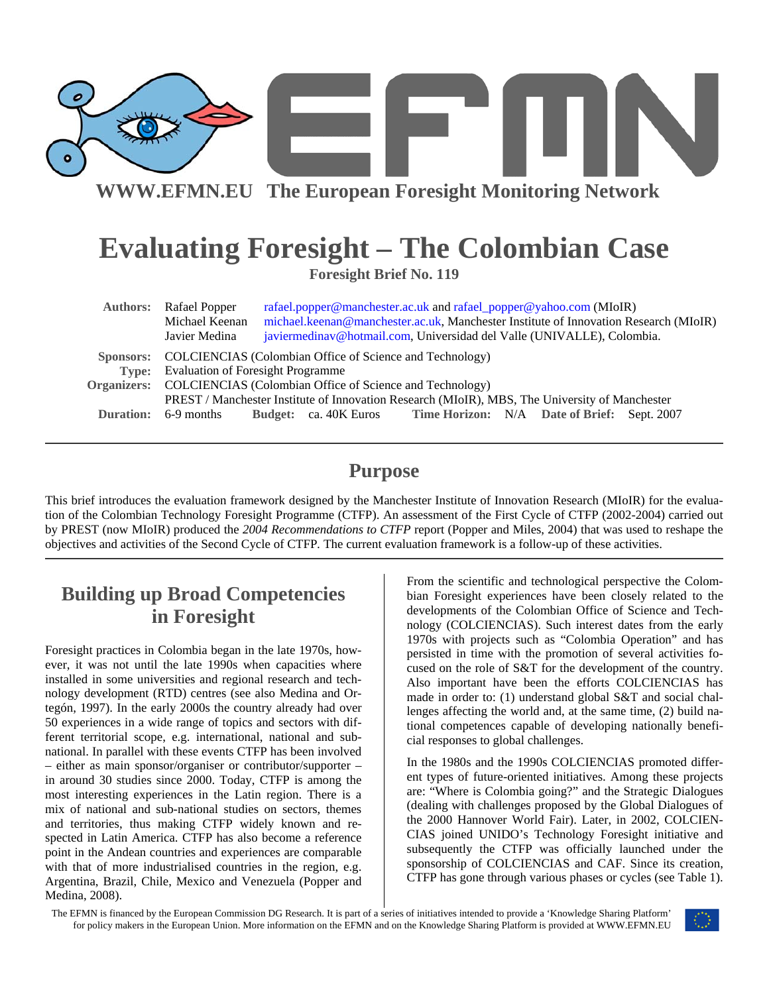

**WWW.EFMN.EU The European Foresight Monitoring Network**

# **Evaluating Foresight – The Colombian Case**

**Foresight Brief No. 119** 

| <b>Authors:</b> Rafael Popper<br>Michael Keenan<br>Javier Medina                                                     | rafael.popper@manchester.ac.uk and rafael_popper@yahoo.com (MIoIR)<br>michael.keenan@manchester.ac.uk, Manchester Institute of Innovation Research (MIoIR)<br>javiermedinav@hotmail.com, Universidad del Valle (UNIVALLE), Colombia. |  |
|----------------------------------------------------------------------------------------------------------------------|--------------------------------------------------------------------------------------------------------------------------------------------------------------------------------------------------------------------------------------|--|
| Sponsors: COLCIENCIAS (Colombian Office of Science and Technology)<br><b>Type:</b> Evaluation of Foresight Programme |                                                                                                                                                                                                                                      |  |
| Organizers: COLCIENCIAS (Colombian Office of Science and Technology)                                                 |                                                                                                                                                                                                                                      |  |
| <b>Duration:</b> 6-9 months                                                                                          | PREST / Manchester Institute of Innovation Research (MIoIR), MBS, The University of Manchester<br><b>Budget:</b> ca. 40K Euros Time Horizon: N/A Date of Brief: Sept. 2007                                                           |  |

#### **Purpose**

This brief introduces the evaluation framework designed by the Manchester Institute of Innovation Research (MIoIR) for the evaluation of the Colombian Technology Foresight Programme (CTFP). An assessment of the First Cycle of CTFP (2002-2004) carried out by PREST (now MIoIR) produced the *2004 Recommendations to CTFP* report (Popper and Miles, 2004) that was used to reshape the objectives and activities of the Second Cycle of CTFP*.* The current evaluation framework is a follow-up of these activities.

#### **Building up Broad Competencies in Foresight**

Foresight practices in Colombia began in the late 1970s, however, it was not until the late 1990s when capacities where installed in some universities and regional research and technology development (RTD) centres (see also Medina and Ortegón, 1997). In the early 2000s the country already had over 50 experiences in a wide range of topics and sectors with different territorial scope, e.g. international, national and subnational. In parallel with these events CTFP has been involved – either as main sponsor/organiser or contributor/supporter – in around 30 studies since 2000. Today, CTFP is among the most interesting experiences in the Latin region. There is a mix of national and sub-national studies on sectors, themes and territories, thus making CTFP widely known and respected in Latin America. CTFP has also become a reference point in the Andean countries and experiences are comparable with that of more industrialised countries in the region, e.g. Argentina, Brazil, Chile, Mexico and Venezuela (Popper and Medina, 2008).

From the scientific and technological perspective the Colombian Foresight experiences have been closely related to the developments of the Colombian Office of Science and Technology (COLCIENCIAS). Such interest dates from the early 1970s with projects such as "Colombia Operation" and has persisted in time with the promotion of several activities focused on the role of S&T for the development of the country. Also important have been the efforts COLCIENCIAS has made in order to: (1) understand global S&T and social challenges affecting the world and, at the same time, (2) build national competences capable of developing nationally beneficial responses to global challenges.

In the 1980s and the 1990s COLCIENCIAS promoted different types of future-oriented initiatives. Among these projects are: "Where is Colombia going?" and the Strategic Dialogues (dealing with challenges proposed by the Global Dialogues of the 2000 Hannover World Fair). Later, in 2002, COLCIEN-CIAS joined UNIDO's Technology Foresight initiative and subsequently the CTFP was officially launched under the sponsorship of COLCIENCIAS and CAF. Since its creation, CTFP has gone through various phases or cycles (see Table 1).

The EFMN is financed by the European Commission DG Research. It is part of a series of initiatives intended to provide a 'Knowledge Sharing Platform' for policy makers in the European Union. More information on the EFMN and on the Knowledge Sharing Platform is provided at WWW.EFMN.EU

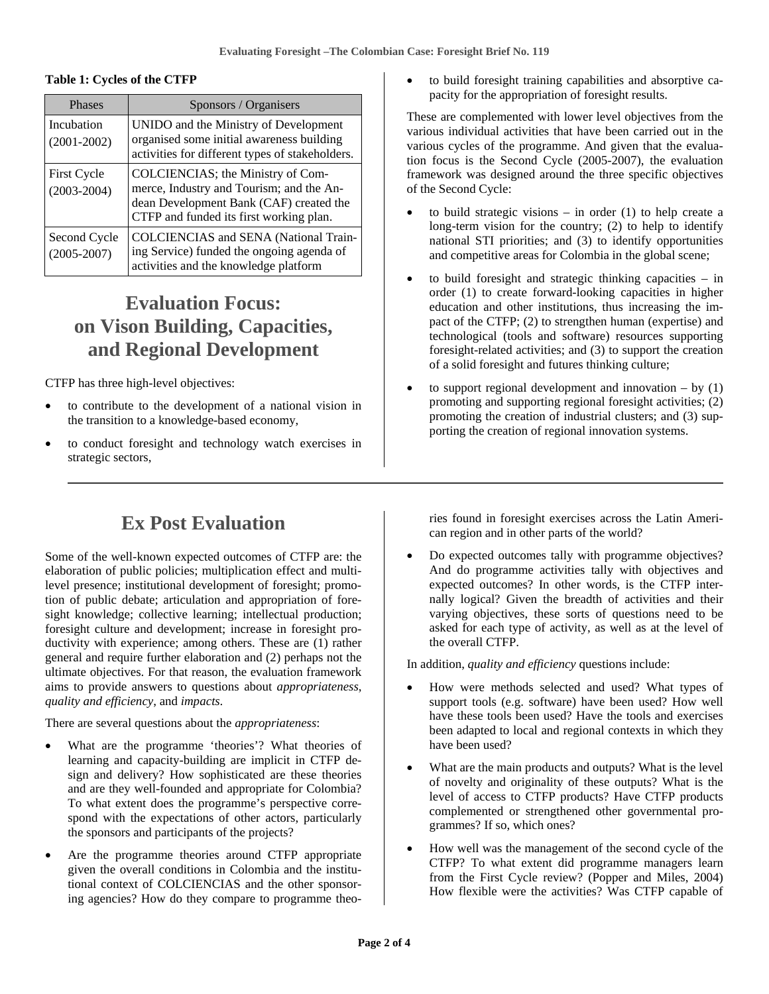#### **Table 1: Cycles of the CTFP**

| <b>Phases</b>                         | Sponsors / Organisers                                                                                                                                               |
|---------------------------------------|---------------------------------------------------------------------------------------------------------------------------------------------------------------------|
| Incubation<br>$(2001 - 2002)$         | UNIDO and the Ministry of Development<br>organised some initial awareness building<br>activities for different types of stakeholders.                               |
| <b>First Cycle</b><br>$(2003 - 2004)$ | COLCIENCIAS; the Ministry of Com-<br>merce, Industry and Tourism; and the An-<br>dean Development Bank (CAF) created the<br>CTFP and funded its first working plan. |
| Second Cycle<br>$(2005 - 2007)$       | <b>COLCIENCIAS</b> and <b>SENA</b> (National Train-<br>ing Service) funded the ongoing agenda of<br>activities and the knowledge platform                           |

#### **Evaluation Focus: on Vison Building, Capacities, and Regional Development**

CTFP has three high-level objectives:

- to contribute to the development of a national vision in the transition to a knowledge-based economy,
- to conduct foresight and technology watch exercises in strategic sectors,

to build foresight training capabilities and absorptive capacity for the appropriation of foresight results.

These are complemented with lower level objectives from the various individual activities that have been carried out in the various cycles of the programme. And given that the evaluation focus is the Second Cycle (2005-2007), the evaluation framework was designed around the three specific objectives of the Second Cycle:

- to build strategic visions  $-$  in order (1) to help create a long-term vision for the country; (2) to help to identify national STI priorities; and (3) to identify opportunities and competitive areas for Colombia in the global scene;
- to build foresight and strategic thinking capacities in order (1) to create forward-looking capacities in higher education and other institutions, thus increasing the impact of the CTFP; (2) to strengthen human (expertise) and technological (tools and software) resources supporting foresight-related activities; and (3) to support the creation of a solid foresight and futures thinking culture;
- to support regional development and innovation  $-$  by (1) promoting and supporting regional foresight activities; (2) promoting the creation of industrial clusters; and (3) supporting the creation of regional innovation systems.

#### **Ex Post Evaluation**

Some of the well-known expected outcomes of CTFP are: the elaboration of public policies; multiplication effect and multilevel presence; institutional development of foresight; promotion of public debate; articulation and appropriation of foresight knowledge; collective learning; intellectual production; foresight culture and development; increase in foresight productivity with experience; among others. These are (1) rather general and require further elaboration and (2) perhaps not the ultimate objectives. For that reason, the evaluation framework aims to provide answers to questions about *appropriateness*, *quality and efficiency*, and *impacts*.

There are several questions about the *appropriateness*:

- What are the programme 'theories'? What theories of learning and capacity-building are implicit in CTFP design and delivery? How sophisticated are these theories and are they well-founded and appropriate for Colombia? To what extent does the programme's perspective correspond with the expectations of other actors, particularly the sponsors and participants of the projects?
- Are the programme theories around CTFP appropriate given the overall conditions in Colombia and the institutional context of COLCIENCIAS and the other sponsoring agencies? How do they compare to programme theo-

ries found in foresight exercises across the Latin American region and in other parts of the world?

• Do expected outcomes tally with programme objectives? And do programme activities tally with objectives and expected outcomes? In other words, is the CTFP internally logical? Given the breadth of activities and their varying objectives, these sorts of questions need to be asked for each type of activity, as well as at the level of the overall CTFP.

In addition, *quality and efficiency* questions include:

- How were methods selected and used? What types of support tools (e.g. software) have been used? How well have these tools been used? Have the tools and exercises been adapted to local and regional contexts in which they have been used?
- What are the main products and outputs? What is the level of novelty and originality of these outputs? What is the level of access to CTFP products? Have CTFP products complemented or strengthened other governmental programmes? If so, which ones?
- How well was the management of the second cycle of the CTFP? To what extent did programme managers learn from the First Cycle review? (Popper and Miles, 2004) How flexible were the activities? Was CTFP capable of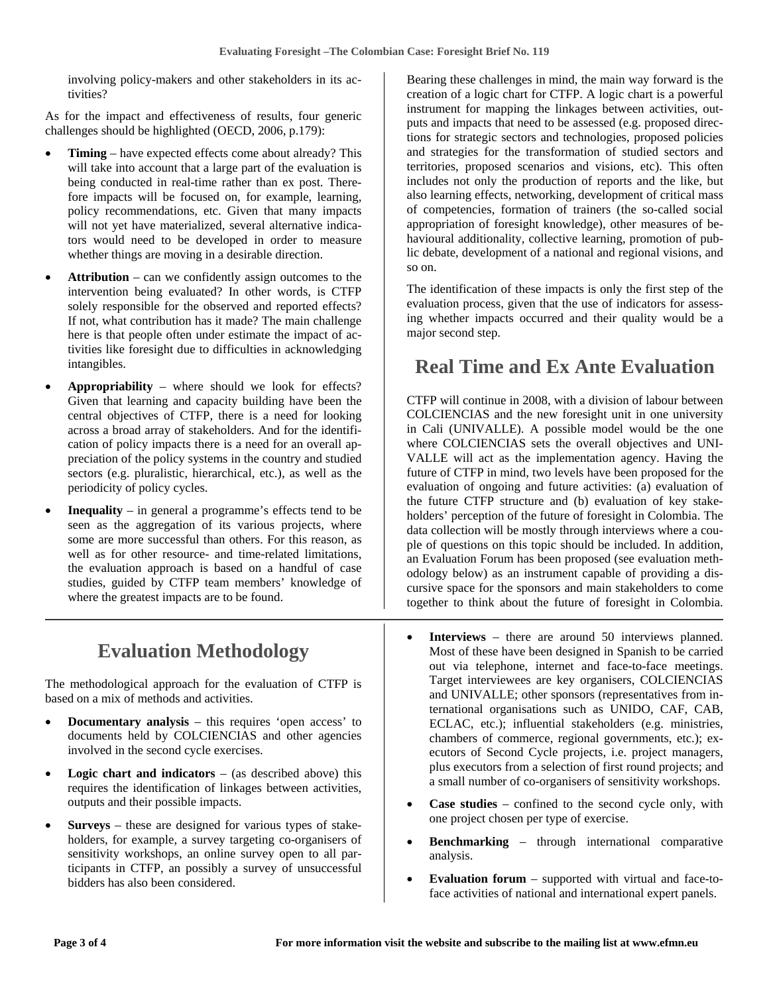involving policy-makers and other stakeholders in its activities?

As for the impact and effectiveness of results, four generic challenges should be highlighted (OECD, 2006, p.179):

- **Timing** have expected effects come about already? This will take into account that a large part of the evaluation is being conducted in real-time rather than ex post. Therefore impacts will be focused on, for example, learning, policy recommendations, etc. Given that many impacts will not yet have materialized, several alternative indicators would need to be developed in order to measure whether things are moving in a desirable direction.
- **Attribution** can we confidently assign outcomes to the intervention being evaluated? In other words, is CTFP solely responsible for the observed and reported effects? If not, what contribution has it made? The main challenge here is that people often under estimate the impact of activities like foresight due to difficulties in acknowledging intangibles.
- **Appropriability** where should we look for effects? Given that learning and capacity building have been the central objectives of CTFP, there is a need for looking across a broad array of stakeholders. And for the identification of policy impacts there is a need for an overall appreciation of the policy systems in the country and studied sectors (e.g. pluralistic, hierarchical, etc.), as well as the periodicity of policy cycles.
- **Inequality** in general a programme's effects tend to be seen as the aggregation of its various projects, where some are more successful than others. For this reason, as well as for other resource- and time-related limitations, the evaluation approach is based on a handful of case studies, guided by CTFP team members' knowledge of where the greatest impacts are to be found.

### **Evaluation Methodology**

The methodological approach for the evaluation of CTFP is based on a mix of methods and activities.

- **Documentary analysis** this requires 'open access' to documents held by COLCIENCIAS and other agencies involved in the second cycle exercises.
- **Logic chart and indicators** (as described above) this requires the identification of linkages between activities, outputs and their possible impacts.
- **Surveys** these are designed for various types of stakeholders, for example, a survey targeting co-organisers of sensitivity workshops, an online survey open to all participants in CTFP, an possibly a survey of unsuccessful bidders has also been considered.

Bearing these challenges in mind, the main way forward is the creation of a logic chart for CTFP. A logic chart is a powerful instrument for mapping the linkages between activities, outputs and impacts that need to be assessed (e.g. proposed directions for strategic sectors and technologies, proposed policies and strategies for the transformation of studied sectors and territories, proposed scenarios and visions, etc). This often includes not only the production of reports and the like, but also learning effects, networking, development of critical mass of competencies, formation of trainers (the so-called social appropriation of foresight knowledge), other measures of behavioural additionality, collective learning, promotion of public debate, development of a national and regional visions, and so on.

The identification of these impacts is only the first step of the evaluation process, given that the use of indicators for assessing whether impacts occurred and their quality would be a major second step.

## **Real Time and Ex Ante Evaluation**

CTFP will continue in 2008, with a division of labour between COLCIENCIAS and the new foresight unit in one university in Cali (UNIVALLE). A possible model would be the one where COLCIENCIAS sets the overall objectives and UNI-VALLE will act as the implementation agency. Having the future of CTFP in mind, two levels have been proposed for the evaluation of ongoing and future activities: (a) evaluation of the future CTFP structure and (b) evaluation of key stakeholders' perception of the future of foresight in Colombia. The data collection will be mostly through interviews where a couple of questions on this topic should be included. In addition, an Evaluation Forum has been proposed (see evaluation methodology below) as an instrument capable of providing a discursive space for the sponsors and main stakeholders to come together to think about the future of foresight in Colombia.

- **Interviews** there are around 50 interviews planned. Most of these have been designed in Spanish to be carried out via telephone, internet and face-to-face meetings. Target interviewees are key organisers, COLCIENCIAS and UNIVALLE; other sponsors (representatives from international organisations such as UNIDO, CAF, CAB, ECLAC, etc.); influential stakeholders (e.g. ministries, chambers of commerce, regional governments, etc.); executors of Second Cycle projects, i.e. project managers, plus executors from a selection of first round projects; and a small number of co-organisers of sensitivity workshops.
- **Case studies** confined to the second cycle only, with one project chosen per type of exercise.
- **Benchmarking** through international comparative analysis.
- **Evaluation forum** supported with virtual and face-toface activities of national and international expert panels.